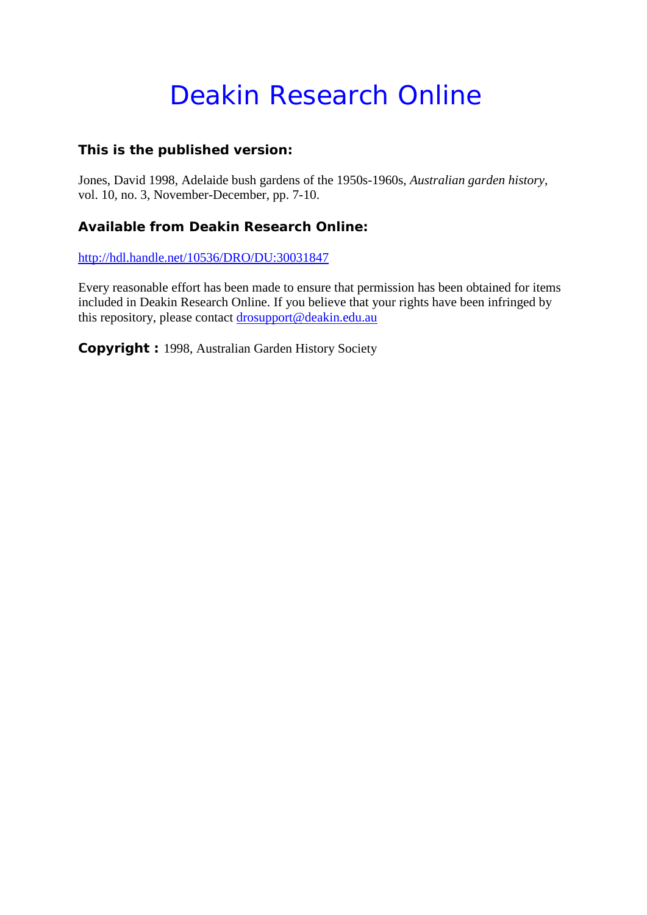# Deakin Research Online

# **This is the published version:**

Jones, David 1998, Adelaide bush gardens of the 1950s-1960s*, Australian garden history*, vol. 10, no. 3, November-December, pp. 7-10.

# **Available from Deakin Research Online:**

<http://hdl.handle.net/10536/DRO/DU:30031847>

Every reasonable effort has been made to ensure that permission has been obtained for items included in Deakin Research Online. If you believe that your rights have been infringed by this repository, please contact [drosupport@deakin.edu.au](mailto:drosupport@deakin.edu.au)

**Copyright :** 1998, Australian Garden History Society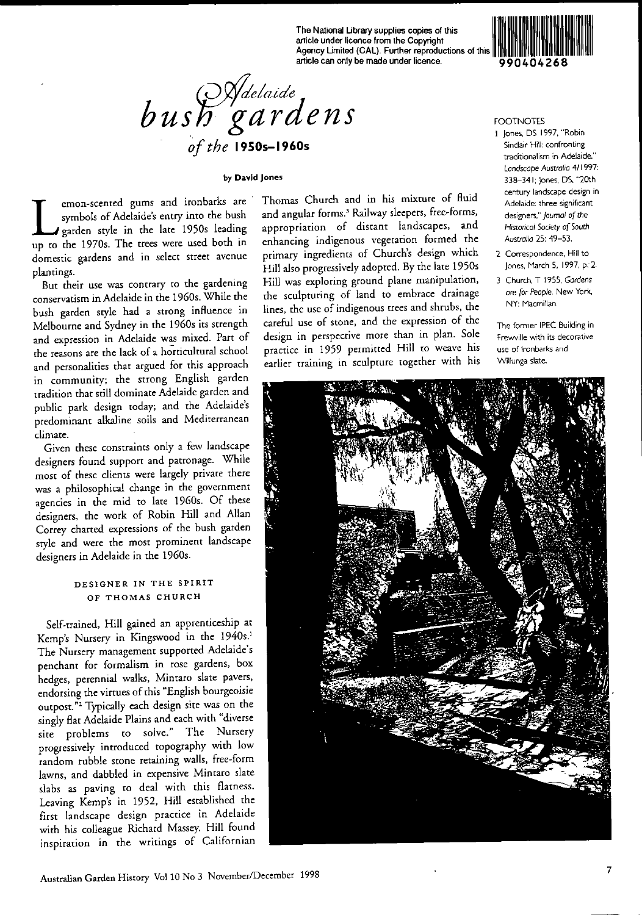The National Library supplies copies of this article under licence from the Copyright Agency Limited (CAL). Further reproductions of this article can only be made under licence.



#### by David Jones

mon-scented gums and ironbarks are<br>symbols of Adelaide's entry into the bush<br>garden style in the late 1950s leading<br>up to the 1970s. The trees were used both in symbols of Adelaide's entry into the bush garden sryle in the late 1950, leading up to the 1970s. The trees were used both in domestic gardens and in select street avenue planrings.

But their use was contrary to the gardening conservatism in Adelaide in the 1960s. While the bush garden style had a strong influence in Melbourne and Sydney in the 1960s its strengrh and expression in Adelaide was mixed. Part of the reasons are the lack of a horticultural school and personalities that argued for this approach in community; the strong English garden tradition that still dominate Adelaide garden and public park design today; and the Adelaide's predominant alkaline soils and Mediterranean climate.

Given these constraints only a few landscape designers found support and patronage. While most of these clients were largely private there was a philosophical change in the government agencies in the mid to late 1960s. Of these designers, the work of Robin Hill and Allan Correy charted expressions of the bush garden style and were the most prominent landscape designers in Adelaide in the 1960s.

## DESIGNER IN THE SPIRIT OF THOMAS CHURCH

Self-rrained, Hill gained an apprenticeship ar Kemp's Nursery in Kingswood in the 1940s.' The Nursery managemenr supported Adelaide's penchant for formalism in rose gardens, box hedges, perennial walks, Mintaro slate pavers, endorsing the virtues of this "English bourgeoisie outpost.<sup>"2</sup> Typically each design site was on the singly flat Adelaide Plains and each with "diverse site problems to solve." The Nursery progressively introduced rapography with low random rubble stone retaining walls, free-form lawns, and dabbled in expensive Minraro slate slabs as paving to deal with this flatness. Leaving Kemp's in 1952, Hill esrablished the first landscape design pracrice in Adelaide with his colleague Richard Massey. Hill found inspiration in the writings of Californian

Thomas Church and in his mixture of fluid and angular forms.<sup>3</sup> Railway sleepers, free-forms, appropriation of distant landscapes, and enhancing indigenous vegetation formed the primary ingredienrs of Church's design which Hill also progressively adopred. By rhe Iare 1950s Hill was exploring ground plane manipulation, the sculpturing of land to embrace drainage lines, the use of indigenous trees and shrubs, the careful use of stone, and the expression of the design in perspective more than in plan. Sole practice in 1959 permitted Hill to weave his earlier training in sculprure together with his



## FOOTNOTES

- I Jones, DS 1997, "Robin Sinclair Hill: confronting traditionalism in Adelaide," *Landscape Australia 4/1997:* 338-341; Jones, OS, "20th century landscape design in Adelaide: three significant designers," journal of the *Hiswrica!* Society of Sourh *Australia* 25: 49-53.
- 2 Correspondence, Hill to Jones, March 5, 1997, p: 2.
- 3 Church, T 1955, *Gardens* are for *People.* New York. NY: Macmillan.

The former IPEC Building in Frevwille with its decorative use of Ironbarks and Willunga slate.

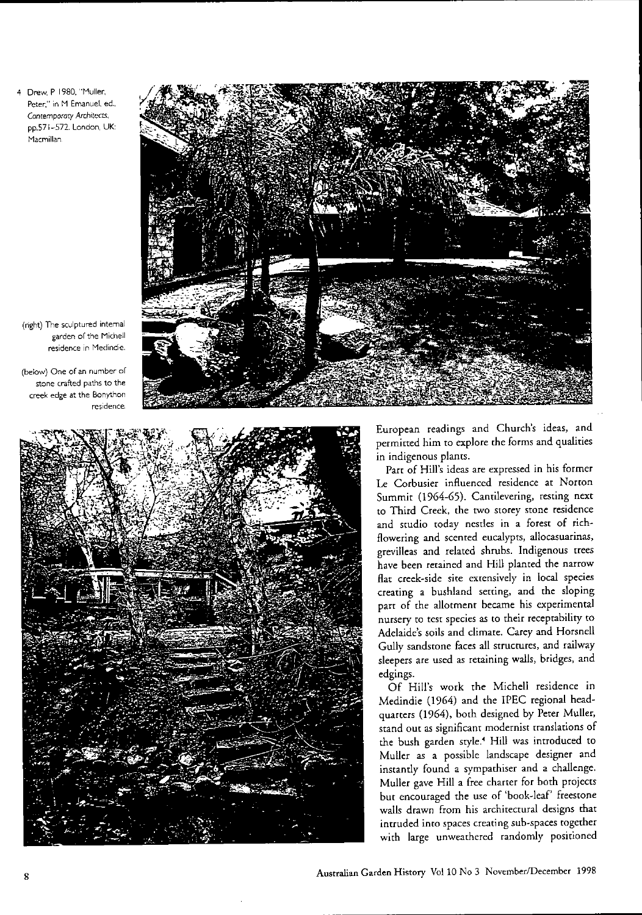4 Drew, P 1980, "Muller, Peter," in M Emanuel, ed., Contemporary Architects, pp.571-572, London, UK: Macmillan

(right) The sculptured intemal garden of the Michell residence in Medindie.

(below) One of an number of stone crafted paths to the creek edge at the Bonython residence,





European readings and Church's ideas, and permitted him to explore the forms and qualities in indigenous plants.

Parr of Hill's ideas are expressed in his former Le Corbusier influenced residence at Norton Summir (1964-65). Camilevering, resring nexr to Third Creek, the two storey stone residence and studio today nestles in a forest of richflowering and scented eucalypts, allocasuarinas, greviIleas and relared shrubs. Indigenous rtees have been retained and Hill planted the narrow flat creek-side site extensively in local species creating a bushland setting, and the sloping part of the allotment became his experimental nursery to test species as to their receptabiliry to Adelaide's soils and climare. Carey and Horsnell Gully sandstone faces all structures, and railway sleepers are used as retaining walls, bridges, and edgings.

Of Hill's work rhe Michell residence in Medindie (1964) and the IPEC regional headquarters (1964), borh designed by Perer Muller, stand out as significant modernist translations of rhe bush garden style.' Hill was introduced ro Muller as a possible landscape designer and instantly found a symparhiser and a challenge. Muller gave Hill a free charter for borh projecrs bur encouraged rhe use of 'book-leaf' freesrone walls drawn from his architectural designs that intruded imo spaces creating sub-spaces together with large unweathered randomly positioned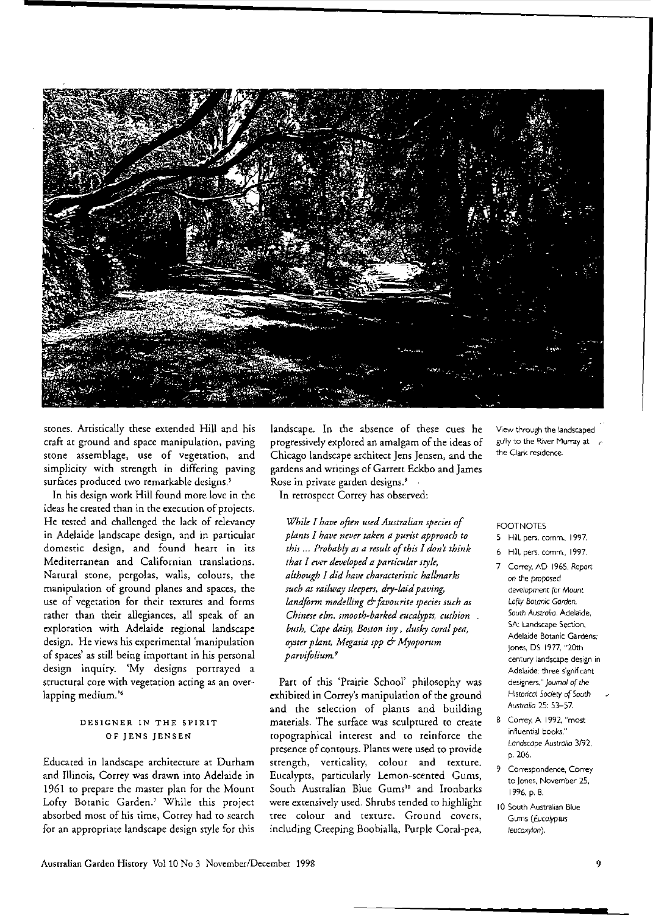

stones. Artistically these extended Hill and his craft at ground and space manipulation, paving srone assemblage, use of vegetation, and simplicity with strength in differing paving surfaces produced two remarkable designs.<sup>5</sup>

In his design work Hill found more love in the ideas he created than in the execution of projects. He tested and challenged the lack of relevancy in Adelaide landscape design, and in particulat domestic design, and found heart in its Mediterranean and Californian translations. Natural stone, pergolas, walls, colours, the manipulation of ground planes and spaces, the use of vegetation for their textures and forms tarher than their allegiances, all speak of an explotation wirh Adelaide tegional landscape design. He views his experimental 'manipulation of spaces' as still being important in his personal design inquiry. 'My designs portrayed a structural core with vegetation acting as an overlapping medium.'6

## DESIGNER IN THE SPIRIT OF JENS JENSEN

Educated in landscape architecture at Durham and Illinois, Correy was drawn into Adelaide in 1961 to prepare the master plan for the Mount Lofty Botanic Garden.<sup>7</sup> While this project absorbed most of his time, Correy had to search for an appropriate landscape design style fot this landscape. In the absence of these cues he progressively explored an amalgam of the ideas of Chicago landscape atchitect Jens Jensen, and the gardens and writings of Garrett Eckbo and James Rose in private garden designs.<sup>8</sup>

In retrospect Correy has observed:

*While I have often used Australian species of plants I have never taken a purist approach to this ... Probably as a result ofth,s I don' think thar I ever develnpd a parricular style, although I did have charactenstic hallmarks such as railway sleepers, dry-laid paving, landform modelling* & *favourite species such as Chinese elm, smooth-barked eucalypts, cushion*  $b$ ush, Cape daisy, Boston *ivy*, dusky coral pea, *oyster plant, Megasia spp* & *Myoporum parvifolium9*

Patt of this 'Ptairie School' philosophy was exhibited in Correy's manipulation of the ground and the selection of plants and building materials. The surface was sculptured to create ropographical interest and to reinforce the presence of contours. Plants were used to provide strength, verticaliry, colour and texture. Eucalypts, particularly Lemon-scented Gums, South Australian Blue Gums<sup>10</sup> and Ironbarks were extensively used. Shrubs tended to highlight tree colour and texture. Ground covers, including Creeping Boobialla, Purple Coral-pea,

View through the landscaped gully to the River Murray at *r* the Clark residence.

#### FOOTNOTES

- 5 Hill, pers. comm.. 1997.
- 6 Hill, pers. comm. 1997.
- 7 Correy, AD 1965. *Report* on the proposed development for *Mount* Lofry *Botanic* Gorden. South Australia, Adelaide, SA: Landscape Section, Adelaide Botanic Gardens: jones, OS 1977, "20th century landscape design in Adelaide: three significant designers," *Journal* of the Historical Society of South Australia 25: 53-57.
- 8 Correy, A 1992 "most influential books," *Landscape* Australlo 3/92. p.206.
- 9 Correspondence, Correy to Jones. November 25, 1996. p. 8.
- 10 South Australian Blue Gums (Eucolyptus *leucoxylon).*